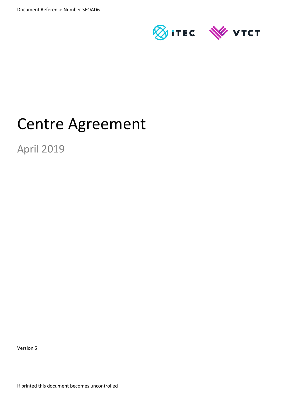

# Centre Agreement

April 2019

Version 5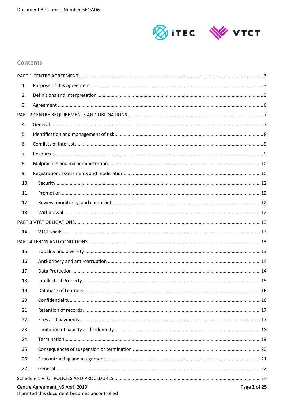

# **Contents**

| 1.  |                                                                                 |              |  |  |
|-----|---------------------------------------------------------------------------------|--------------|--|--|
| 2.  |                                                                                 |              |  |  |
| 3.  |                                                                                 |              |  |  |
|     |                                                                                 |              |  |  |
| 4.  |                                                                                 |              |  |  |
| 5.  |                                                                                 |              |  |  |
| 6.  |                                                                                 |              |  |  |
| 7.  |                                                                                 |              |  |  |
| 8.  |                                                                                 |              |  |  |
| 9.  |                                                                                 |              |  |  |
| 10. |                                                                                 |              |  |  |
| 11. |                                                                                 |              |  |  |
| 12. |                                                                                 |              |  |  |
| 13. |                                                                                 |              |  |  |
|     |                                                                                 |              |  |  |
| 14. |                                                                                 |              |  |  |
|     |                                                                                 |              |  |  |
| 15. |                                                                                 |              |  |  |
| 16. |                                                                                 |              |  |  |
| 17. |                                                                                 |              |  |  |
| 18. |                                                                                 |              |  |  |
| 19. |                                                                                 |              |  |  |
| 20. |                                                                                 |              |  |  |
| 21. |                                                                                 |              |  |  |
| 22. |                                                                                 |              |  |  |
| 23. |                                                                                 |              |  |  |
| 24. |                                                                                 |              |  |  |
| 25. |                                                                                 |              |  |  |
| 26. |                                                                                 |              |  |  |
| 27. |                                                                                 |              |  |  |
|     |                                                                                 |              |  |  |
|     | Centre Agreement_v5 April 2019<br>If printed this document becomes uncontrolled | Page 2 of 25 |  |  |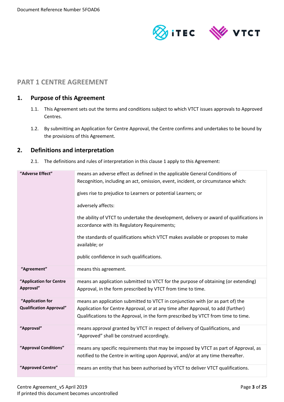

# <span id="page-2-0"></span>**PART 1 CENTRE AGREEMENT**

## <span id="page-2-1"></span>**1. Purpose of this Agreement**

- 1.1. This Agreement sets out the terms and conditions subject to which VTCT issues approvals to Approved Centres.
- 1.2. By submitting an Application for Centre Approval, the Centre confirms and undertakes to be bound by the provisions of this Agreement.

# <span id="page-2-2"></span>**2. Definitions and interpretation**

2.1. The definitions and rules of interpretation in this clause 1 apply to this Agreement:

| "Adverse Effect"                                   | means an adverse effect as defined in the applicable General Conditions of<br>Recognition, including an act, omission, event, incident, or circumstance which:<br>gives rise to prejudice to Learners or potential Learners; or<br>adversely affects:<br>the ability of VTCT to undertake the development, delivery or award of qualifications in<br>accordance with its Regulatory Requirements;<br>the standards of qualifications which VTCT makes available or proposes to make<br>available; or<br>public confidence in such qualifications. |
|----------------------------------------------------|---------------------------------------------------------------------------------------------------------------------------------------------------------------------------------------------------------------------------------------------------------------------------------------------------------------------------------------------------------------------------------------------------------------------------------------------------------------------------------------------------------------------------------------------------|
| "Agreement"                                        | means this agreement.                                                                                                                                                                                                                                                                                                                                                                                                                                                                                                                             |
| "Application for Centre<br>Approval"               | means an application submitted to VTCT for the purpose of obtaining (or extending)<br>Approval, in the form prescribed by VTCT from time to time.                                                                                                                                                                                                                                                                                                                                                                                                 |
| "Application for<br><b>Qualification Approval"</b> | means an application submitted to VTCT in conjunction with (or as part of) the<br>Application for Centre Approval, or at any time after Approval, to add (further)<br>Qualifications to the Approval, in the form prescribed by VTCT from time to time.                                                                                                                                                                                                                                                                                           |
| "Approval"                                         | means approval granted by VTCT in respect of delivery of Qualifications, and<br>"Approved" shall be construed accordingly.                                                                                                                                                                                                                                                                                                                                                                                                                        |
| "Approval Conditions"                              | means any specific requirements that may be imposed by VTCT as part of Approval, as<br>notified to the Centre in writing upon Approval, and/or at any time thereafter.                                                                                                                                                                                                                                                                                                                                                                            |
| "Approved Centre"                                  | means an entity that has been authorised by VTCT to deliver VTCT qualifications.                                                                                                                                                                                                                                                                                                                                                                                                                                                                  |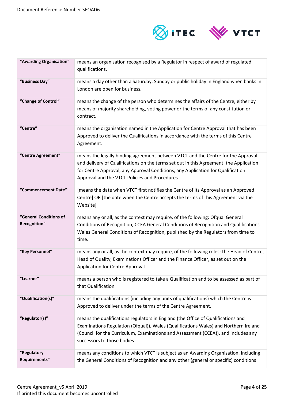

| "Awarding Organisation"                | means an organisation recognised by a Regulator in respect of award of regulated<br>qualifications.                                                                                                                                                                                                             |
|----------------------------------------|-----------------------------------------------------------------------------------------------------------------------------------------------------------------------------------------------------------------------------------------------------------------------------------------------------------------|
| "Business Day"                         | means a day other than a Saturday, Sunday or public holiday in England when banks in<br>London are open for business.                                                                                                                                                                                           |
| "Change of Control"                    | means the change of the person who determines the affairs of the Centre, either by<br>means of majority shareholding, voting power or the terms of any constitution or<br>contract.                                                                                                                             |
| "Centre"                               | means the organisation named in the Application for Centre Approval that has been<br>Approved to deliver the Qualifications in accordance with the terms of this Centre<br>Agreement.                                                                                                                           |
| "Centre Agreement"                     | means the legally binding agreement between VTCT and the Centre for the Approval<br>and delivery of Qualifications on the terms set out in this Agreement, the Application<br>for Centre Approval, any Approval Conditions, any Application for Qualification<br>Approval and the VTCT Policies and Procedures. |
| "Commencement Date"                    | [means the date when VTCT first notifies the Centre of its Approval as an Approved<br>Centre] OR [the date when the Centre accepts the terms of this Agreement via the<br>Website]                                                                                                                              |
| "General Conditions of<br>Recognition" | means any or all, as the context may require, of the following: Ofqual General<br>Conditions of Recognition, CCEA General Conditions of Recognition and Qualifications<br>Wales General Conditions of Recognition, published by the Regulators from time to<br>time.                                            |
| "Key Personnel"                        | means any or all, as the context may require, of the following roles: the Head of Centre,<br>Head of Quality, Examinations Officer and the Finance Officer, as set out on the<br>Application for Centre Approval.                                                                                               |
| "Learner"                              | means a person who is registered to take a Qualification and to be assessed as part of<br>that Qualification.                                                                                                                                                                                                   |
| "Qualification(s)"                     | means the qualifications (including any units of qualifications) which the Centre is<br>Approved to deliver under the terms of the Centre Agreement.                                                                                                                                                            |
| "Regulator(s)"                         | means the qualifications regulators in England (the Office of Qualifications and<br>Examinations Regulation (Ofqual)), Wales (Qualifications Wales) and Northern Ireland<br>(Council for the Curriculum, Examinations and Assessment (CCEA)), and includes any<br>successors to those bodies.                   |
| "Regulatory<br>Requirements"           | means any conditions to which VTCT is subject as an Awarding Organisation, including<br>the General Conditions of Recognition and any other (general or specific) conditions                                                                                                                                    |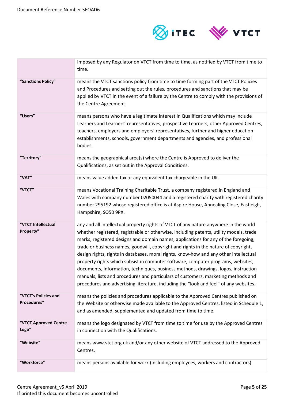

|                                     | imposed by any Regulator on VTCT from time to time, as notified by VTCT from time to<br>time.                                                                                                                                                                                                                                                                                                                                                                                                                                                                                                                                                                                                                                                                                                                |
|-------------------------------------|--------------------------------------------------------------------------------------------------------------------------------------------------------------------------------------------------------------------------------------------------------------------------------------------------------------------------------------------------------------------------------------------------------------------------------------------------------------------------------------------------------------------------------------------------------------------------------------------------------------------------------------------------------------------------------------------------------------------------------------------------------------------------------------------------------------|
| "Sanctions Policy"                  | means the VTCT sanctions policy from time to time forming part of the VTCT Policies<br>and Procedures and setting out the rules, procedures and sanctions that may be<br>applied by VTCT in the event of a failure by the Centre to comply with the provisions of<br>the Centre Agreement.                                                                                                                                                                                                                                                                                                                                                                                                                                                                                                                   |
| "Users"                             | means persons who have a legitimate interest in Qualifications which may include<br>Learners and Learners' representatives, prospective Learners, other Approved Centres,<br>teachers, employers and employers' representatives, further and higher education<br>establishments, schools, government departments and agencies, and professional<br>bodies.                                                                                                                                                                                                                                                                                                                                                                                                                                                   |
| "Territory"                         | means the geographical area(s) where the Centre is Approved to deliver the<br>Qualifications, as set out in the Approval Conditions.                                                                                                                                                                                                                                                                                                                                                                                                                                                                                                                                                                                                                                                                         |
| "VAT"                               | means value added tax or any equivalent tax chargeable in the UK.                                                                                                                                                                                                                                                                                                                                                                                                                                                                                                                                                                                                                                                                                                                                            |
| "VTCT"                              | means Vocational Training Charitable Trust, a company registered in England and<br>Wales with company number 02050044 and a registered charity with registered charity<br>number 295192 whose registered office is at Aspire House, Annealing Close, Eastleigh,<br>Hampshire, SO50 9PX.                                                                                                                                                                                                                                                                                                                                                                                                                                                                                                                      |
| "VTCT Intellectual<br>Property"     | any and all intellectual property rights of VTCT of any nature anywhere in the world<br>whether registered, registrable or otherwise, including patents, utility models, trade<br>marks, registered designs and domain names, applications for any of the foregoing,<br>trade or business names, goodwill, copyright and rights in the nature of copyright,<br>design rights, rights in databases, moral rights, know-how and any other intellectual<br>property rights which subsist in computer software, computer programs, websites,<br>documents, information, techniques, business methods, drawings, logos, instruction<br>manuals, lists and procedures and particulars of customers, marketing methods and<br>procedures and advertising literature, including the "look and feel" of any websites. |
| "VTCT's Policies and<br>Procedures" | means the policies and procedures applicable to the Approved Centres published on<br>the Website or otherwise made available to the Approved Centres, listed in Schedule 1,<br>and as amended, supplemented and updated from time to time.                                                                                                                                                                                                                                                                                                                                                                                                                                                                                                                                                                   |
| "VTCT Approved Centre<br>Logo"      | means the logo designated by VTCT from time to time for use by the Approved Centres<br>in connection with the Qualifications.                                                                                                                                                                                                                                                                                                                                                                                                                                                                                                                                                                                                                                                                                |
| "Website"                           | means www.vtct.org.uk and/or any other website of VTCT addressed to the Approved<br>Centres.                                                                                                                                                                                                                                                                                                                                                                                                                                                                                                                                                                                                                                                                                                                 |
| "Workforce"                         | means persons available for work (including employees, workers and contractors).                                                                                                                                                                                                                                                                                                                                                                                                                                                                                                                                                                                                                                                                                                                             |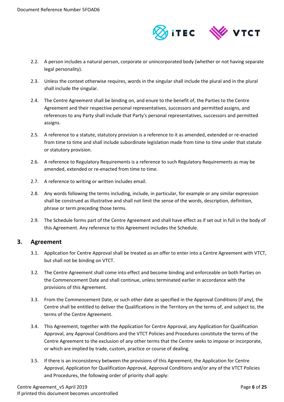

- 2.2. A person includes a natural person, corporate or unincorporated body (whether or not having separate legal personality).
- 2.3. Unless the context otherwise requires, words in the singular shall include the plural and in the plural shall include the singular.
- 2.4. The Centre Agreement shall be binding on, and enure to the benefit of, the Parties to the Centre Agreement and their respective personal representatives, successors and permitted assigns, and references to any Party shall include that Party's personal representatives, successors and permitted assigns.
- 2.5. A reference to a statute, statutory provision is a reference to it as amended, extended or re-enacted from time to time and shall include subordinate legislation made from time to time under that statute or statutory provision.
- 2.6. A reference to Regulatory Requirements is a reference to such Regulatory Requirements as may be amended, extended or re-enacted from time to time.
- 2.7. A reference to writing or written includes email.
- 2.8. Any words following the terms including, include, in particular, for example or any similar expression shall be construed as illustrative and shall not limit the sense of the words, description, definition, phrase or term preceding those terms.
- 2.9. The Schedule forms part of the Centre Agreement and shall have effect as if set out in full in the body of this Agreement. Any reference to this Agreement includes the Schedule.

# <span id="page-5-0"></span>**3. Agreement**

- 3.1. Application for Centre Approval shall be treated as an offer to enter into a Centre Agreement with VTCT, but shall not be binding on VTCT.
- 3.2. The Centre Agreement shall come into effect and become binding and enforceable on both Parties on the Commencement Date and shall continue, unless terminated earlier in accordance with the provisions of this Agreement.
- 3.3. From the Commencement Date, or such other date as specified in the Approval Conditions (if any), the Centre shall be entitled to deliver the Qualifications in the Territory on the terms of, and subject to, the terms of the Centre Agreement.
- 3.4. This Agreement, together with the Application for Centre Approval, any Application for Qualification Approval, any Approval Conditions and the VTCT Policies and Procedures constitute the terms of the Centre Agreement to the exclusion of any other terms that the Centre seeks to impose or incorporate, or which are implied by trade, custom, practice or course of dealing.
- 3.5. If there is an inconsistency between the provisions of this Agreement, the Application for Centre Approval, Application for Qualification Approval, Approval Conditions and/or any of the VTCT Policies and Procedures, the following order of priority shall apply: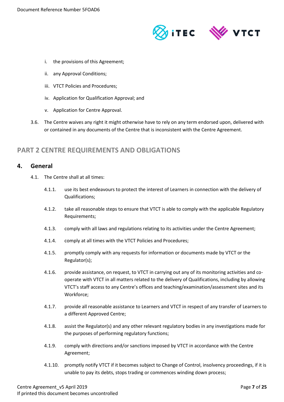

- i. the provisions of this Agreement;
- ii. any Approval Conditions;
- iii. VTCT Policies and Procedures;
- iv. Application for Qualification Approval; and
- v. Application for Centre Approval.
- 3.6. The Centre waives any right it might otherwise have to rely on any term endorsed upon, delivered with or contained in any documents of the Centre that is inconsistent with the Centre Agreement.

# <span id="page-6-0"></span>**PART 2 CENTRE REQUIREMENTS AND OBLIGATIONS**

#### <span id="page-6-1"></span>**4. General**

- 4.1. The Centre shall at all times:
	- 4.1.1. use its best endeavours to protect the interest of Learners in connection with the delivery of Qualifications;
	- 4.1.2. take all reasonable steps to ensure that VTCT is able to comply with the applicable Regulatory Requirements;
	- 4.1.3. comply with all laws and regulations relating to its activities under the Centre Agreement;
	- 4.1.4. comply at all times with the VTCT Policies and Procedures;
	- 4.1.5. promptly comply with any requests for information or documents made by VTCT or the Regulator(s);
	- 4.1.6. provide assistance, on request, to VTCT in carrying out any of its monitoring activities and cooperate with VTCT in all matters related to the delivery of Qualifications, including by allowing VTCT's staff access to any Centre's offices and teaching/examination/assessment sites and its Workforce;
	- 4.1.7. provide all reasonable assistance to Learners and VTCT in respect of any transfer of Learners to a different Approved Centre;
	- 4.1.8. assist the Regulator(s) and any other relevant regulatory bodies in any investigations made for the purposes of performing regulatory functions;
	- 4.1.9. comply with directions and/or sanctions imposed by VTCT in accordance with the Centre Agreement;
	- 4.1.10. promptly notify VTCT if it becomes subject to Change of Control, insolvency proceedings, if it is unable to pay its debts, stops trading or commences winding down process;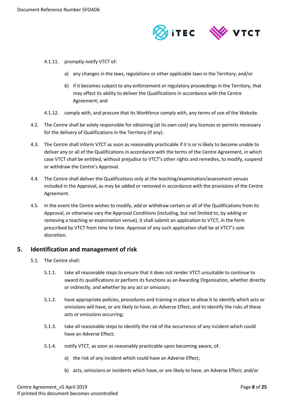

- 4.1.11. promptly notify VTCT of:
	- a) any changes in the laws, regulations or other applicable laws in the Territory; and/or
	- b) if it becomes subject to any enforcement or regulatory proceedings in the Territory, that may affect its ability to deliver the Qualifications in accordance with the Centre Agreement; and
- 4.1.12. comply with, and procure that its Workforce comply with, any terms of use of the Website.
- 4.2. The Centre shall be solely responsible for obtaining (at its own cost) any licences or permits necessary for the delivery of Qualifications in the Territory (if any).
- 4.3. The Centre shall inform VTCT as soon as reasonably practicable if it is or is likely to become unable to deliver any or all of the Qualifications in accordance with the terms of the Centre Agreement, in which case VTCT shall be entitled, without prejudice to VTCT's other rights and remedies, to modify, suspend or withdraw the Centre's Approval.
- 4.4. The Centre shall deliver the Qualifications only at the teaching/examination/assessment venues included in the Approval, as may be added or removed in accordance with the provisions of the Centre Agreement.
- 4.5. In the event the Centre wishes to modify, add or withdraw certain or all of the Qualifications from its Approval, or otherwise vary the Approval Conditions (including, but not limited to, by adding or removing a teaching or examination venue), it shall submit an application to VTCT, in the form prescribed by VTCT from time to time. Approval of any such application shall be at VTCT's sole discretion.

# <span id="page-7-0"></span>**5. Identification and management of risk**

- 5.1. The Centre shall:
	- 5.1.1. take all reasonable steps to ensure that it does not render VTCT unsuitable to continue to award its qualifications or perform its functions as an Awarding Organisation, whether directly or indirectly, and whether by any act or omission;
	- 5.1.2. have appropriate policies, procedures and training in place to allow it to identify which acts or omissions will have, or are likely to have, an Adverse Effect, and to identify the risks of these acts or omissions occurring;
	- 5.1.3. take all reasonable steps to identify the risk of the occurrence of any incident which could have an Adverse Effect;
	- 5.1.4. notify VTCT, as soon as reasonably practicable upon becoming aware, of:
		- a) the risk of any incident which could have an Adverse Effect;
		- b) acts, omissions or incidents which have, or are likely to have, an Adverse Effect; and/or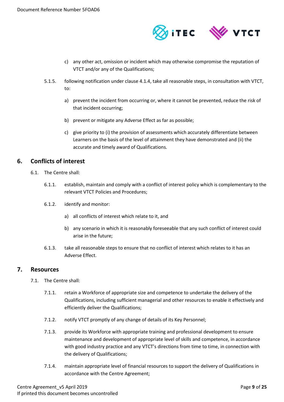

- c) any other act, omission or incident which may otherwise compromise the reputation of VTCT and/or any of the Qualifications;
- 5.1.5. following notification under clause 4.1.4, take all reasonable steps, in consultation with VTCT, to:
	- a) prevent the incident from occurring or, where it cannot be prevented, reduce the risk of that incident occurring;
	- b) prevent or mitigate any Adverse Effect as far as possible;
	- c) give priority to (i) the provision of assessments which accurately differentiate between Learners on the basis of the level of attainment they have demonstrated and (ii) the accurate and timely award of Qualifications.

# <span id="page-8-0"></span>**6. Conflicts of interest**

- 6.1. The Centre shall:
	- 6.1.1. establish, maintain and comply with a conflict of interest policy which is complementary to the relevant VTCT Policies and Procedures;
	- 6.1.2. identify and monitor:
		- a) all conflicts of interest which relate to it, and
		- b) any scenario in which it is reasonably foreseeable that any such conflict of interest could arise in the future;
	- 6.1.3. take all reasonable steps to ensure that no conflict of interest which relates to it has an Adverse Effect.

#### <span id="page-8-1"></span>**7. Resources**

- 7.1. The Centre shall:
	- 7.1.1. retain a Workforce of appropriate size and competence to undertake the delivery of the Qualifications, including sufficient managerial and other resources to enable it effectively and efficiently deliver the Qualifications;
	- 7.1.2. notify VTCT promptly of any change of details of its Key Personnel;
	- 7.1.3. provide its Workforce with appropriate training and professional development to ensure maintenance and development of appropriate level of skills and competence, in accordance with good industry practice and any VTCT's directions from time to time, in connection with the delivery of Qualifications;
	- 7.1.4. maintain appropriate level of financial resources to support the delivery of Qualifications in accordance with the Centre Agreement;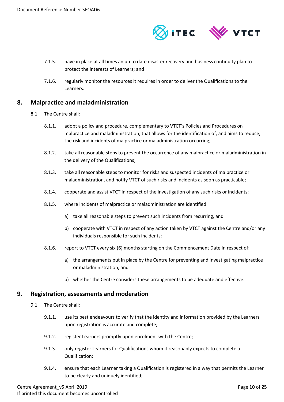

- 7.1.5. have in place at all times an up to date disaster recovery and business continuity plan to protect the interests of Learners; and
- 7.1.6. regularly monitor the resources it requires in order to deliver the Qualifications to the Learners.

## <span id="page-9-0"></span>**8. Malpractice and maladministration**

- 8.1. The Centre shall:
	- 8.1.1. adopt a policy and procedure, complementary to VTCT's Policies and Procedures on malpractice and maladministration, that allows for the identification of, and aims to reduce, the risk and incidents of malpractice or maladministration occurring;
	- 8.1.2. take all reasonable steps to prevent the occurrence of any malpractice or maladministration in the delivery of the Qualifications;
	- 8.1.3. take all reasonable steps to monitor for risks and suspected incidents of malpractice or maladministration, and notify VTCT of such risks and incidents as soon as practicable;
	- 8.1.4. cooperate and assist VTCT in respect of the investigation of any such risks or incidents;
	- 8.1.5. where incidents of malpractice or maladministration are identified:
		- a) take all reasonable steps to prevent such incidents from recurring, and
		- b) cooperate with VTCT in respect of any action taken by VTCT against the Centre and/or any individuals responsible for such incidents;
	- 8.1.6. report to VTCT every six (6) months starting on the Commencement Date in respect of:
		- a) the arrangements put in place by the Centre for preventing and investigating malpractice or maladministration, and
		- b) whether the Centre considers these arrangements to be adequate and effective.

#### <span id="page-9-1"></span>**9. Registration, assessments and moderation**

- 9.1. The Centre shall:
	- 9.1.1. use its best endeavours to verify that the identity and information provided by the Learners upon registration is accurate and complete;
	- 9.1.2. register Learners promptly upon enrolment with the Centre;
	- 9.1.3. only register Learners for Qualifications whom it reasonably expects to complete a Qualification;
	- 9.1.4. ensure that each Learner taking a Qualification is registered in a way that permits the Learner to be clearly and uniquely identified;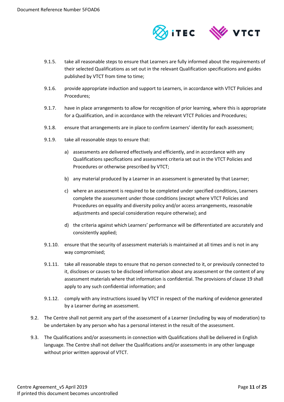

- 9.1.5. take all reasonable steps to ensure that Learners are fully informed about the requirements of their selected Qualifications as set out in the relevant Qualification specifications and guides published by VTCT from time to time;
- 9.1.6. provide appropriate induction and support to Learners, in accordance with VTCT Policies and Procedures;
- 9.1.7. have in place arrangements to allow for recognition of prior learning, where this is appropriate for a Qualification, and in accordance with the relevant VTCT Policies and Procedures;
- 9.1.8. ensure that arrangements are in place to confirm Learners' identity for each assessment;
- 9.1.9. take all reasonable steps to ensure that:
	- a) assessments are delivered effectively and efficiently, and in accordance with any Qualifications specifications and assessment criteria set out in the VTCT Policies and Procedures or otherwise prescribed by VTCT;
	- b) any material produced by a Learner in an assessment is generated by that Learner;
	- c) where an assessment is required to be completed under specified conditions, Learners complete the assessment under those conditions (except where VTCT Policies and Procedures on equality and diversity policy and/or access arrangements, reasonable adjustments and special consideration require otherwise); and
	- d) the criteria against which Learners' performance will be differentiated are accurately and consistently applied;
- 9.1.10. ensure that the security of assessment materials is maintained at all times and is not in any way compromised;
- 9.1.11. take all reasonable steps to ensure that no person connected to it, or previously connected to it, discloses or causes to be disclosed information about any assessment or the content of any assessment materials where that information is confidential. The provisions of clause 19 shall apply to any such confidential information; and
- 9.1.12. comply with any instructions issued by VTCT in respect of the marking of evidence generated by a Learner during an assessment.
- 9.2. The Centre shall not permit any part of the assessment of a Learner (including by way of moderation) to be undertaken by any person who has a personal interest in the result of the assessment.
- 9.3. The Qualifications and/or assessments in connection with Qualifications shall be delivered in English language. The Centre shall not deliver the Qualifications and/or assessments in any other language without prior written approval of VTCT.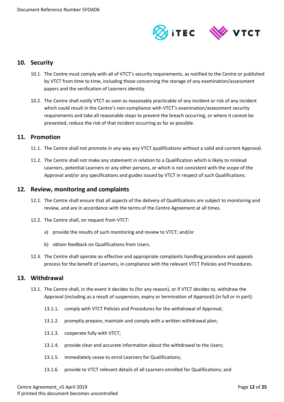

#### <span id="page-11-0"></span>**10. Security**

- 10.1. The Centre must comply with all of VTCT's security requirements, as notified to the Centre or published by VTCT from time to time, including those concerning the storage of any examination/assessment papers and the verification of Learners identity.
- 10.2. The Centre shall notify VTCT as soon as reasonably practicable of any incident or risk of any incident which could result in the Centre's non-compliance with VTCT's examination/assessment security requirements and take all reasonable steps to prevent the breach occurring, or where it cannot be prevented, reduce the risk of that incident occurring as far as possible.

#### <span id="page-11-1"></span>**11. Promotion**

- 11.1. The Centre shall not promote in any way any VTCT qualifications without a valid and current Approval.
- 11.2. The Centre shall not make any statement in relation to a Qualification which is likely to mislead Learners, potential Learners or any other persons, or which is not consistent with the scope of the Approval and/or any specifications and guides issued by VTCT in respect of such Qualifications.

#### <span id="page-11-2"></span>**12. Review, monitoring and complaints**

- 12.1. The Centre shall ensure that all aspects of the delivery of Qualifications are subject to monitoring and review, and are in accordance with the terms of the Centre Agreement at all times.
- 12.2. The Centre shall, on request from VTCT:
	- a) provide the results of such monitoring and review to VTCT; and/or
	- b) obtain feedback on Qualifications from Users.
- 12.3. The Centre shall operate an effective and appropriate complaints handling procedure and appeals process for the benefit of Learners, in compliance with the relevant VTCT Policies and Procedures.

#### <span id="page-11-3"></span>**13. Withdrawal**

- 13.1. The Centre shall, in the event it decides to (for any reason), or if VTCT decides to, withdraw the Approval (including as a result of suspension, expiry or termination of Approval) (in full or in part):
	- 13.1.1. comply with VTCT Policies and Procedures for the withdrawal of Approval;
	- 13.1.2. promptly prepare, maintain and comply with a written withdrawal plan;
	- 13.1.3. cooperate fully with VTCT;
	- 13.1.4. provide clear and accurate information about the withdrawal to the Users;
	- 13.1.5. immediately cease to enrol Learners for Qualifications;
	- 13.1.6. provide to VTCT relevant details of all Learners enrolled for Qualifications; and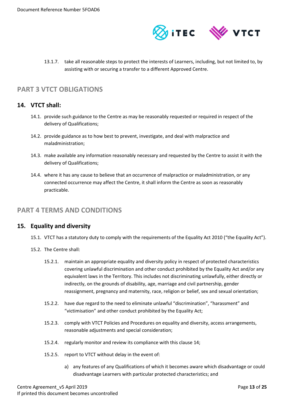

13.1.7. take all reasonable steps to protect the interests of Learners, including, but not limited to, by assisting with or securing a transfer to a different Approved Centre.

# <span id="page-12-0"></span>**PART 3 VTCT OBLIGATIONS**

# <span id="page-12-1"></span>**14. VTCT shall:**

- 14.1. provide such guidance to the Centre as may be reasonably requested or required in respect of the delivery of Qualifications;
- 14.2. provide guidance as to how best to prevent, investigate, and deal with malpractice and maladministration;
- 14.3. make available any information reasonably necessary and requested by the Centre to assist it with the delivery of Qualifications;
- 14.4. where it has any cause to believe that an occurrence of malpractice or maladministration, or any connected occurrence may affect the Centre, it shall inform the Centre as soon as reasonably practicable.

# <span id="page-12-2"></span>**PART 4 TERMS AND CONDITIONS**

#### <span id="page-12-3"></span>**15. Equality and diversity**

- 15.1. VTCT has a statutory duty to comply with the requirements of the Equality Act 2010 ("the Equality Act").
- 15.2. The Centre shall:
	- 15.2.1. maintain an appropriate equality and diversity policy in respect of protected characteristics covering unlawful discrimination and other conduct prohibited by the Equality Act and/or any equivalent laws in the Territory. This includes not discriminating unlawfully, either directly or indirectly, on the grounds of disability, age, marriage and civil partnership, gender reassignment, pregnancy and maternity, race, religion or belief, sex and sexual orientation;
	- 15.2.2. have due regard to the need to eliminate unlawful "discrimination", "harassment" and "victimisation" and other conduct prohibited by the Equality Act;
	- 15.2.3. comply with VTCT Policies and Procedures on equality and diversity, access arrangements, reasonable adjustments and special consideration;
	- 15.2.4. regularly monitor and review its compliance with this clause 14;
	- 15.2.5. report to VTCT without delay in the event of:
		- a) any features of any Qualifications of which it becomes aware which disadvantage or could disadvantage Learners with particular protected characteristics; and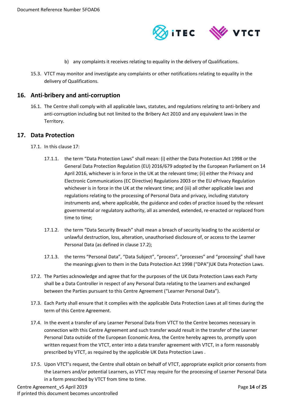

- b) any complaints it receives relating to equality in the delivery of Qualifications.
- 15.3. VTCT may monitor and investigate any complaints or other notifications relating to equality in the delivery of Qualifications.

#### <span id="page-13-0"></span>**16. Anti-bribery and anti-corruption**

16.1. The Centre shall comply with all applicable laws, statutes, and regulations relating to anti-bribery and anti-corruption including but not limited to the Bribery Act 2010 and any equivalent laws in the Territory.

#### <span id="page-13-1"></span>**17. Data Protection**

- 17.1. In this clause 17:
	- 17.1.1. the term "Data Protection Laws" shall mean: (i) either the Data Protection Act 1998 or the General Data Protection Regulation (EU) 2016/679 adopted by the European Parliament on 14 April 2016, whichever is in force in the UK at the relevant time; (ii) either the Privacy and Electronic Communications (EC Directive) Regulations 2003 or the EU ePrivacy Regulation whichever is in force in the UK at the relevant time; and (iii) all other applicable laws and regulations relating to the processing of Personal Data and privacy, including statutory instruments and, where applicable, the guidance and codes of practice issued by the relevant governmental or regulatory authority, all as amended, extended, re-enacted or replaced from time to time;
	- 17.1.2. the term "Data Security Breach" shall mean a breach of security leading to the accidental or unlawful destruction, loss, alteration, unauthorised disclosure of, or access to the Learner Personal Data (as defined in clause 17.2);
	- 17.1.3. the terms "Personal Data", "Data Subject", "process", "processes" and "processing" shall have the meanings given to them in the Data Protection Act 1998 ("DPA")UK Data Protection Laws.
- 17.2. The Parties acknowledge and agree that for the purposes of the UK Data Protection Laws each Party shall be a Data Controller in respect of any Personal Data relating to the Learners and exchanged between the Parties pursuant to this Centre Agreement ("Learner Personal Data").
- 17.3. Each Party shall ensure that it complies with the applicable Data Protection Laws at all times during the term of this Centre Agreement.
- 17.4. In the event a transfer of any Learner Personal Data from VTCT to the Centre becomes necessary in connection with this Centre Agreement and such transfer would result in the transfer of the Learner Personal Data outside of the European Economic Area, the Centre hereby agrees to, promptly upon written request from the VTCT, enter into a data transfer agreement with VTCT, in a form reasonably prescribed by VTCT, as required by the applicable UK Data Protection Laws .
- 17.5. Upon VTCT's request, the Centre shall obtain on behalf of VTCT, appropriate explicit prior consents from the Learners and/or potential Learners, as VTCT may require for the processing of Learner Personal Data in a form prescribed by VTCT from time to time.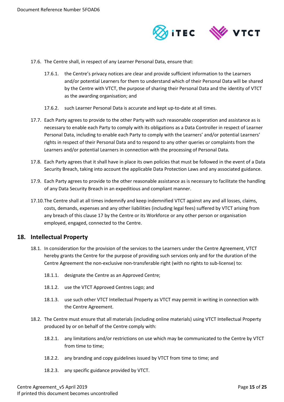

- 17.6. The Centre shall, in respect of any Learner Personal Data, ensure that:
	- 17.6.1. the Centre's privacy notices are clear and provide sufficient information to the Learners and/or potential Learners for them to understand which of their Personal Data will be shared by the Centre with VTCT, the purpose of sharing their Personal Data and the identity of VTCT as the awarding organisation; and
	- 17.6.2. such Learner Personal Data is accurate and kept up-to-date at all times.
- 17.7. Each Party agrees to provide to the other Party with such reasonable cooperation and assistance as is necessary to enable each Party to comply with its obligations as a Data Controller in respect of Learner Personal Data, including to enable each Party to comply with the Learners' and/or potential Learners' rights in respect of their Personal Data and to respond to any other queries or complaints from the Learners and/or potential Learners in connection with the processing of Personal Data.
- 17.8. Each Party agrees that it shall have in place its own policies that must be followed in the event of a Data Security Breach, taking into account the applicable Data Protection Laws and any associated guidance.
- 17.9. Each Party agrees to provide to the other reasonable assistance as is necessary to facilitate the handling of any Data Security Breach in an expeditious and compliant manner.
- 17.10.The Centre shall at all times indemnify and keep indemnified VTCT against any and all losses, claims, costs, demands, expenses and any other liabilities (including legal fees) suffered by VTCT arising from any breach of this clause 17 by the Centre or its Workforce or any other person or organisation employed, engaged, connected to the Centre.

#### <span id="page-14-0"></span>**18. Intellectual Property**

- 18.1. In consideration for the provision of the services to the Learners under the Centre Agreement, VTCT hereby grants the Centre for the purpose of providing such services only and for the duration of the Centre Agreement the non-exclusive non-transferable right (with no rights to sub-license) to:
	- 18.1.1. designate the Centre as an Approved Centre;
	- 18.1.2. use the VTCT Approved Centres Logo; and
	- 18.1.3. use such other VTCT Intellectual Property as VTCT may permit in writing in connection with the Centre Agreement.
- 18.2. The Centre must ensure that all materials (including online materials) using VTCT Intellectual Property produced by or on behalf of the Centre comply with:
	- 18.2.1. any limitations and/or restrictions on use which may be communicated to the Centre by VTCT from time to time;
	- 18.2.2. any branding and copy guidelines issued by VTCT from time to time; and
	- 18.2.3. any specific guidance provided by VTCT.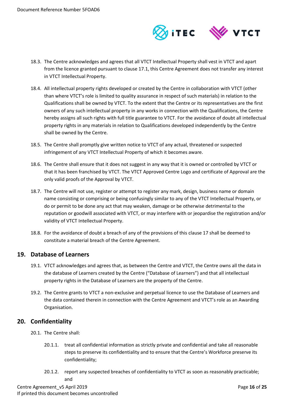

- 18.3. The Centre acknowledges and agrees that all VTCT Intellectual Property shall vest in VTCT and apart from the licence granted pursuant to clause 17.1, this Centre Agreement does not transfer any interest in VTCT Intellectual Property.
- 18.4. All intellectual property rights developed or created by the Centre in collaboration with VTCT (other than where VTCT's role is limited to quality assurance in respect of such materials) in relation to the Qualifications shall be owned by VTCT. To the extent that the Centre or its representatives are the first owners of any such intellectual property in any works in connection with the Qualifications, the Centre hereby assigns all such rights with full title guarantee to VTCT. For the avoidance of doubt all intellectual property rights in any materials in relation to Qualifications developed independently by the Centre shall be owned by the Centre.
- 18.5. The Centre shall promptly give written notice to VTCT of any actual, threatened or suspected infringement of any VTCT Intellectual Property of which it becomes aware.
- 18.6. The Centre shall ensure that it does not suggest in any way that it is owned or controlled by VTCT or that it has been franchised by VTCT. The VTCT Approved Centre Logo and certificate of Approval are the only valid proofs of the Approval by VTCT.
- 18.7. The Centre will not use, register or attempt to register any mark, design, business name or domain name consisting or comprising or being confusingly similar to any of the VTCT Intellectual Property, or do or permit to be done any act that may weaken, damage or be otherwise detrimental to the reputation or goodwill associated with VTCT, or may interfere with or jeopardise the registration and/or validity of VTCT Intellectual Property.
- 18.8. For the avoidance of doubt a breach of any of the provisions of this clause 17 shall be deemed to constitute a material breach of the Centre Agreement.

# <span id="page-15-0"></span>**19. Database of Learners**

- 19.1. VTCT acknowledges and agrees that, as between the Centre and VTCT, the Centre owns all the data in the database of Learners created by the Centre ("Database of Learners") and that all intellectual property rights in the Database of Learners are the property of the Centre.
- 19.2. The Centre grants to VTCT a non-exclusive and perpetual licence to use the Database of Learners and the data contained therein in connection with the Centre Agreement and VTCT's role as an Awarding Organisation.

# <span id="page-15-1"></span>**20. Confidentiality**

- 20.1 The Centre shall:
	- 20.1.1. treat all confidential information as strictly private and confidential and take all reasonable steps to preserve its confidentiality and to ensure that the Centre's Workforce preserve its confidentiality;
	- 20.1.2. report any suspected breaches of confidentiality to VTCT as soon as reasonably practicable; and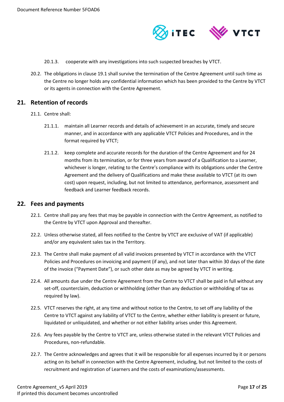

- 20.1.3. cooperate with any investigations into such suspected breaches by VTCT.
- 20.2. The obligations in clause 19.1 shall survive the termination of the Centre Agreement until such time as the Centre no longer holds any confidential information which has been provided to the Centre by VTCT or its agents in connection with the Centre Agreement.

#### <span id="page-16-0"></span>**21. Retention of records**

- 21.1. Centre shall:
	- 21.1.1. maintain all Learner records and details of achievement in an accurate, timely and secure manner, and in accordance with any applicable VTCT Policies and Procedures, and in the format required by VTCT;
	- 21.1.2. keep complete and accurate records for the duration of the Centre Agreement and for 24 months from its termination, or for three years from award of a Qualification to a Learner, whichever is longer, relating to the Centre's compliance with its obligations under the Centre Agreement and the delivery of Qualifications and make these available to VTCT (at its own cost) upon request, including, but not limited to attendance, performance, assessment and feedback and Learner feedback records.

#### <span id="page-16-1"></span>**22. Fees and payments**

- 22.1. Centre shall pay any fees that may be payable in connection with the Centre Agreement, as notified to the Centre by VTCT upon Approval and thereafter.
- 22.2. Unless otherwise stated, all fees notified to the Centre by VTCT are exclusive of VAT (if applicable) and/or any equivalent sales tax in the Territory.
- 22.3. The Centre shall make payment of all valid invoices presented by VTCT in accordance with the VTCT Policies and Procedures on invoicing and payment (if any), and not later than within 30 days of the date of the invoice ("Payment Date"), or such other date as may be agreed by VTCT in writing.
- 22.4. All amounts due under the Centre Agreement from the Centre to VTCT shall be paid in full without any set-off, counterclaim, deduction or withholding (other than any deduction or withholding of tax as required by law).
- 22.5. VTCT reserves the right, at any time and without notice to the Centre, to set off any liability of the Centre to VTCT against any liability of VTCT to the Centre, whether either liability is present or future, liquidated or unliquidated, and whether or not either liability arises under this Agreement.
- 22.6. Any fees payable by the Centre to VTCT are, unless otherwise stated in the relevant VTCT Policies and Procedures, non-refundable.
- 22.7. The Centre acknowledges and agrees that it will be responsible for all expenses incurred by it or persons acting on its behalf in connection with the Centre Agreement, including, but not limited to the costs of recruitment and registration of Learners and the costs of examinations/assessments.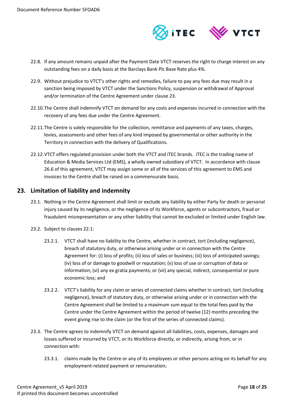

- 22.8. If any amount remains unpaid after the Payment Date VTCT reserves the right to charge interest on any outstanding fees on a daily basis at the Barclays Bank Plc Base Rate plus 4%.
- 22.9. Without prejudice to VTCT's other rights and remedies, failure to pay any fees due may result in a sanction being imposed by VTCT under the Sanctions Policy, suspension or withdrawal of Approval and/or termination of the Centre Agreement under clause 23.
- 22.10.The Centre shall indemnify VTCT on demand for any costs and expenses incurred in connection with the recovery of any fees due under the Centre Agreement.
- 22.11.The Centre is solely responsible for the collection, remittance and payments of any taxes, charges, levies, assessments and other fees of any kind imposed by governmental or other authority in the Territory in connection with the delivery of Qualifications.
- 22.12.VTCT offers regulated provision under both the VTCT and iTEC brands. iTEC is the trading name of Education & Media Services Ltd (EMS), a wholly owned subsidiary of VTCT. In accordance with clause [26.6](#page-21-1) of this agreement, VTCT may assign some or all of the services of this agreement to EMS and invoices to the Centre shall be raised on a commensurate basis.

# <span id="page-17-0"></span>**23. Limitation of liability and indemnity**

- 23.1. Nothing in the Centre Agreement shall limit or exclude any liability by either Party for death or personal injury caused by its negligence, or the negligence of its Workforce, agents or subcontractors, fraud or fraudulent misrepresentation or any other liability that cannot be excluded or limited under English law.
- 23.2. Subject to clauses 22.1:
	- 23.2.1. VTCT shall have no liability to the Centre, whether in contract, tort (including negligence), breach of statutory duty, or otherwise arising under or in connection with the Centre Agreement for: (i) loss of profits; (ii) loss of sales or business; (iii) loss of anticipated savings; (iv) loss of or damage to goodwill or reputation; (v) loss of use or corruption of data or information; (vi) any ex gratia payments; or (vii) any special, indirect, consequential or pure economic loss; and
	- 23.2.2. VTCT's liability for any claim or series of connected claims whether in contract, tort (including negligence), breach of statutory duty, or otherwise arising under or in connection with the Centre Agreement shall be limited to a maximum sum equal to the total fees paid by the Centre under the Centre Agreement within the period of twelve (12) months preceding the event giving rise to the claim (or the first of the series of connected claims).
- 23.3. The Centre agrees to indemnify VTCT on demand against all liabilities, costs, expenses, damages and losses suffered or incurred by VTCT, or its Workforce directly, or indirectly, arising from, or in connection with:
	- 23.3.1. claims made by the Centre or any of its employees or other persons acting on its behalf for any employment-related payment or remuneration;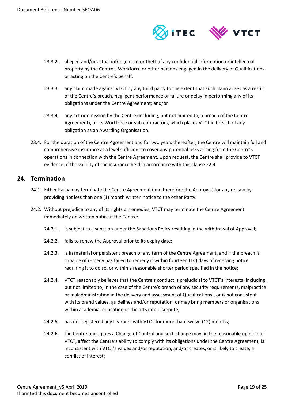

- 23.3.2. alleged and/or actual infringement or theft of any confidential information or intellectual property by the Centre's Workforce or other persons engaged in the delivery of Qualifications or acting on the Centre's behalf;
- 23.3.3. any claim made against VTCT by any third party to the extent that such claim arises as a result of the Centre's breach, negligent performance or failure or delay in performing any of its obligations under the Centre Agreement; and/or
- 23.3.4. any act or omission by the Centre (including, but not limited to, a breach of the Centre Agreement), or its Workforce or sub-contractors, which places VTCT in breach of any obligation as an Awarding Organisation.
- 23.4. For the duration of the Centre Agreement and for two years thereafter, the Centre will maintain full and comprehensive insurance at a level sufficient to cover any potential risks arising from the Centre's operations in connection with the Centre Agreement. Upon request, the Centre shall provide to VTCT evidence of the validity of the insurance held in accordance with this clause 22.4.

#### <span id="page-18-0"></span>**24. Termination**

- 24.1. Either Party may terminate the Centre Agreement (and therefore the Approval) for any reason by providing not less than one (1) month written notice to the other Party.
- 24.2. Without prejudice to any of its rights or remedies, VTCT may terminate the Centre Agreement immediately on written notice if the Centre:
	- 24.2.1. is subject to a sanction under the Sanctions Policy resulting in the withdrawal of Approval;
	- 24.2.2. fails to renew the Approval prior to its expiry date;
	- 24.2.3. is in material or persistent breach of any term of the Centre Agreement, and if the breach is capable of remedy has failed to remedy it within fourteen (14) days of receiving notice requiring it to do so, or within a reasonable shorter period specified in the notice;
	- 24.2.4. VTCT reasonably believes that the Centre's conduct is prejudicial to VTCT's interests (including, but not limited to, in the case of the Centre's breach of any security requirements, malpractice or maladministration in the delivery and assessment of Qualifications), or is not consistent with its brand values, guidelines and/or reputation, or may bring members or organisations within academia, education or the arts into disrepute;
	- 24.2.5. has not registered any Learners with VTCT for more than twelve (12) months;
	- 24.2.6. the Centre undergoes a Change of Control and such change may, in the reasonable opinion of VTCT, affect the Centre's ability to comply with its obligations under the Centre Agreement, is inconsistent with VTCT's values and/or reputation, and/or creates, or is likely to create, a conflict of interest;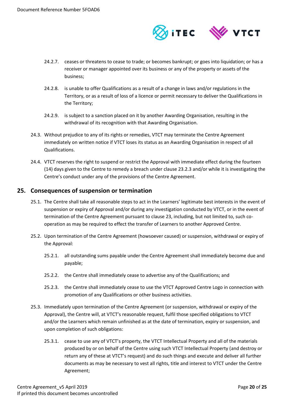

- 24.2.7. ceases or threatens to cease to trade; or becomes bankrupt; or goes into liquidation; or has a receiver or manager appointed over its business or any of the property or assets of the business;
- 24.2.8. is unable to offer Qualifications as a result of a change in laws and/or regulations in the Territory, or as a result of loss of a licence or permit necessary to deliver the Qualifications in the Territory;
- 24.2.9. is subject to a sanction placed on it by another Awarding Organisation, resulting in the withdrawal of its recognition with that Awarding Organisation.
- 24.3. Without prejudice to any of its rights or remedies, VTCT may terminate the Centre Agreement immediately on written notice if VTCT loses its status as an Awarding Organisation in respect of all Qualifications.
- 24.4. VTCT reserves the right to suspend or restrict the Approval with immediate effect during the fourteen (14) days given to the Centre to remedy a breach under clause 23.2.3 and/or while it is investigating the Centre's conduct under any of the provisions of the Centre Agreement.

# <span id="page-19-0"></span>**25. Consequences of suspension or termination**

- 25.1. The Centre shall take all reasonable steps to act in the Learners' legitimate best interests in the event of suspension or expiry of Approval and/or during any investigation conducted by VTCT, or in the event of termination of the Centre Agreement pursuant to clause 23, including, but not limited to, such cooperation as may be required to effect the transfer of Learners to another Approved Centre.
- 25.2. Upon termination of the Centre Agreement (howsoever caused) or suspension, withdrawal or expiry of the Approval:
	- 25.2.1. all outstanding sums payable under the Centre Agreement shall immediately become due and payable;
	- 25.2.2. the Centre shall immediately cease to advertise any of the Qualifications; and
	- 25.2.3. the Centre shall immediately cease to use the VTCT Approved Centre Logo in connection with promotion of any Qualifications or other business activities.
- 25.3. Immediately upon termination of the Centre Agreement (or suspension, withdrawal or expiry of the Approval), the Centre will, at VTCT's reasonable request, fulfil those specified obligations to VTCT and/or the Learners which remain unfinished as at the date of termination, expiry or suspension, and upon completion of such obligations:
	- 25.3.1. cease to use any of VTCT's property, the VTCT Intellectual Property and all of the materials produced by or on behalf of the Centre using such VTCT Intellectual Property (and destroy or return any of these at VTCT's request) and do such things and execute and deliver all further documents as may be necessary to vest all rights, title and interest to VTCT under the Centre Agreement;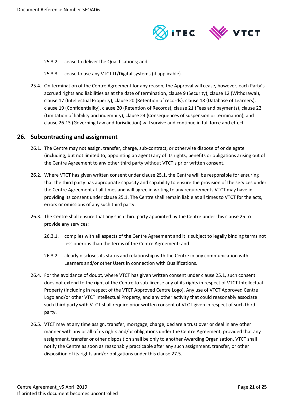

- 25.3.2. cease to deliver the Qualifications; and
- 25.3.3. cease to use any VTCT IT/Digital systems (if applicable).
- 25.4. On termination of the Centre Agreement for any reason, the Approval will cease, however, each Party's accrued rights and liabilities as at the date of termination, clause 9 (Security), clause 12 (Withdrawal), clause 17 (Intellectual Property), clause 20 (Retention of records), clause 18 (Database of Learners), clause 19 (Confidentiality), clause 20 (Retention of Records), clause 21 (Fees and payments), clause 22 (Limitation of liability and indemnity), clause 24 (Consequences of suspension or termination), and clause 26.13 (Governing Law and Jurisdiction) will survive and continue in full force and effect.

#### <span id="page-20-0"></span>**26. Subcontracting and assignment**

- 26.1. The Centre may not assign, transfer, charge, sub-contract, or otherwise dispose of or delegate (including, but not limited to, appointing an agent) any of its rights, benefits or obligations arising out of the Centre Agreement to any other third party without VTCT's prior written consent.
- 26.2. Where VTCT has given written consent under clause 25.1, the Centre will be responsible for ensuring that the third party has appropriate capacity and capability to ensure the provision of the services under the Centre Agreement at all times and will agree in writing to any requirements VTCT may have in providing its consent under clause 25.1. The Centre shall remain liable at all times to VTCT for the acts, errors or omissions of any such third party.
- 26.3. The Centre shall ensure that any such third party appointed by the Centre under this clause 25 to provide any services:
	- 26.3.1. complies with all aspects of the Centre Agreement and it is subject to legally binding terms not less onerous than the terms of the Centre Agreement; and
	- 26.3.2. clearly discloses its status and relationship with the Centre in any communication with Learners and/or other Users in connection with Qualifications.
- 26.4. For the avoidance of doubt, where VTCT has given written consent under clause 25.1, such consent does not extend to the right of the Centre to sub-license any of its rights in respect of VTCT Intellectual Property (including in respect of the VTCT Approved Centre Logo). Any use of VTCT Approved Centre Logo and/or other VTCT Intellectual Property, and any other activity that could reasonably associate such third party with VTCT shall require prior written consent of VTCT given in respect of such third party.
- 26.5. VTCT may at any time assign, transfer, mortgage, charge, declare a trust over or deal in any other manner with any or all of its rights and/or obligations under the Centre Agreement, provided that any assignment, transfer or other disposition shall be only to another Awarding Organisation. VTCT shall notify the Centre as soon as reasonably practicable after any such assignment, transfer, or other disposition of its rights and/or obligations under this clause 27.5.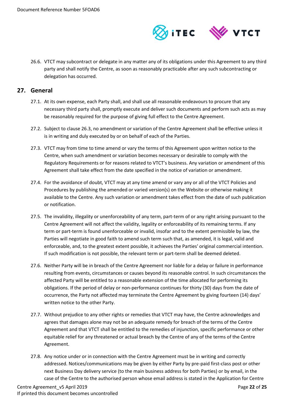

<span id="page-21-1"></span>26.6. VTCT may subcontract or delegate in any matter any of its obligations under this Agreement to any third party and shall notify the Centre, as soon as reasonably practicable after any such subcontracting or delegation has occurred.

#### <span id="page-21-0"></span>**27. General**

- 27.1. At its own expense, each Party shall, and shall use all reasonable endeavours to procure that any necessary third party shall, promptly execute and deliver such documents and perform such acts as may be reasonably required for the purpose of giving full effect to the Centre Agreement.
- 27.2. Subject to clause 26.3, no amendment or variation of the Centre Agreement shall be effective unless it is in writing and duly executed by or on behalf of each of the Parties.
- 27.3. VTCT may from time to time amend or vary the terms of this Agreement upon written notice to the Centre, when such amendment or variation becomes necessary or desirable to comply with the Regulatory Requirements or for reasons related to VTCT's business. Any variation or amendment of this Agreement shall take effect from the date specified in the notice of variation or amendment.
- 27.4. For the avoidance of doubt, VTCT may at any time amend or vary any or all of the VTCT Policies and Procedures by publishing the amended or varied version(s) on the Website or otherwise making it available to the Centre. Any such variation or amendment takes effect from the date of such publication or notification.
- 27.5. The invalidity, illegality or unenforceability of any term, part-term of or any right arising pursuant to the Centre Agreement will not affect the validity, legality or enforceability of its remaining terms. If any term or part-term is found unenforceable or invalid, insofar and to the extent permissible by law, the Parties will negotiate in good faith to amend such term such that, as amended, it is legal, valid and enforceable, and, to the greatest extent possible, it achieves the Parties' original commercial intention. If such modification is not possible, the relevant term or part-term shall be deemed deleted.
- 27.6. Neither Party will be in breach of the Centre Agreement nor liable for a delay or failure in performance resulting from events, circumstances or causes beyond its reasonable control. In such circumstances the affected Party will be entitled to a reasonable extension of the time allocated for performing its obligations. If the period of delay or non-performance continues for thirty (30) days from the date of occurrence, the Party not affected may terminate the Centre Agreement by giving fourteen (14) days' written notice to the other Party.
- 27.7. Without prejudice to any other rights or remedies that VTCT may have, the Centre acknowledges and agrees that damages alone may not be an adequate remedy for breach of the terms of the Centre Agreement and that VTCT shall be entitled to the remedies of injunction, specific performance or other equitable relief for any threatened or actual breach by the Centre of any of the terms of the Centre Agreement.
- 27.8. Any notice under or in connection with the Centre Agreement must be in writing and correctly addressed. Notices/communications may be given by either Party by pre-paid first-class post or other next Business Day delivery service (to the main business address for both Parties) or by email, in the case of the Centre to the authorised person whose email address is stated in the Application for Centre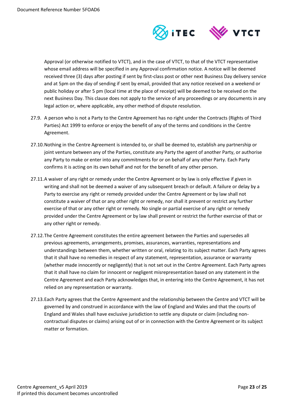

Approval (or otherwise notified to VTCT), and in the case of VTCT, to that of the VTCT representative whose email address will be specified in any Approval confirmation notice. A notice will be deemed received three (3) days after posting if sent by first-class post or other next Business Day delivery service and at 5pm on the day of sending if sent by email, provided that any notice received on a weekend or public holiday or after 5 pm (local time at the place of receipt) will be deemed to be received on the next Business Day. This clause does not apply to the service of any proceedings or any documents in any legal action or, where applicable, any other method of dispute resolution.

- 27.9. A person who is not a Party to the Centre Agreement has no right under the Contracts (Rights of Third Parties) Act 1999 to enforce or enjoy the benefit of any of the terms and conditions in the Centre Agreement.
- 27.10.Nothing in the Centre Agreement is intended to, or shall be deemed to, establish any partnership or joint venture between any of the Parties, constitute any Party the agent of another Party, or authorise any Party to make or enter into any commitments for or on behalf of any other Party. Each Party confirms it is acting on its own behalf and not for the benefit of any other person.
- 27.11.A waiver of any right or remedy under the Centre Agreement or by law is only effective if given in writing and shall not be deemed a waiver of any subsequent breach or default. A failure or delay by a Party to exercise any right or remedy provided under the Centre Agreement or by law shall not constitute a waiver of that or any other right or remedy, nor shall it prevent or restrict any further exercise of that or any other right or remedy. No single or partial exercise of any right or remedy provided under the Centre Agreement or by law shall prevent or restrict the further exercise of that or any other right or remedy.
- 27.12.The Centre Agreement constitutes the entire agreement between the Parties and supersedes all previous agreements, arrangements, promises, assurances, warranties, representations and understandings between them, whether written or oral, relating to its subject matter. Each Party agrees that it shall have no remedies in respect of any statement, representation, assurance or warranty (whether made innocently or negligently) that is not set out in the Centre Agreement. Each Party agrees that it shall have no claim for innocent or negligent misrepresentation based on any statement in the Centre Agreement and each Party acknowledges that, in entering into the Centre Agreement, it has not relied on any representation or warranty.
- 27.13.Each Party agrees that the Centre Agreement and the relationship between the Centre and VTCT will be governed by and construed in accordance with the law of England and Wales and that the courts of England and Wales shall have exclusive jurisdiction to settle any dispute or claim (including noncontractual disputes or claims) arising out of or in connection with the Centre Agreement or its subject matter or formation.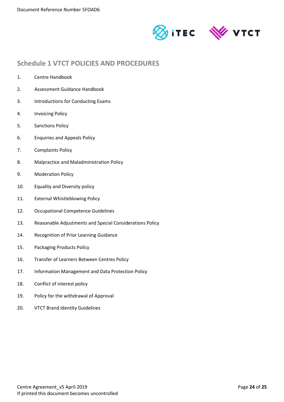



# <span id="page-23-0"></span>**Schedule 1 VTCT POLICIES AND PROCEDURES**

- 1. Centre Handbook
- 2. Assessment Guidance Handbook
- 3. Introductions for Conducting Exams
- 4. Invoicing Policy
- 5. Sanctions Policy
- 6. Enquiries and Appeals Policy
- 7. Complaints Policy
- 8. Malpractice and Maladministration Policy
- 9. Moderation Policy
- 10. Equality and Diversity policy
- 11. External Whistleblowing Policy
- 12. Occupational Competence Guidelines
- 13. Reasonable Adjustments and Special Considerations Policy
- 14. Recognition of Prior Learning Guidance
- 15. Packaging Products Policy
- 16. Transfer of Learners Between Centres Policy
- 17. Information Management and Data Protection Policy
- 18. Conflict of interest policy
- 19. Policy for the withdrawal of Approval
- 20. VTCT Brand Identity Guidelines